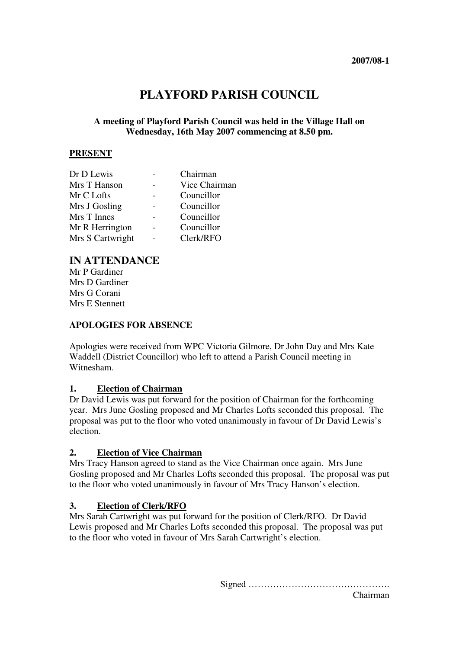# **PLAYFORD PARISH COUNCIL**

### **A meeting of Playford Parish Council was held in the Village Hall on Wednesday, 16th May 2007 commencing at 8.50 pm.**

### **PRESENT**

| Dr D Lewis       | Chairman      |
|------------------|---------------|
| Mrs T Hanson     | Vice Chairman |
| Mr C Lofts       | Councillor    |
| Mrs J Gosling    | Councillor    |
| Mrs T Innes      | Councillor    |
| Mr R Herrington  | Councillor    |
| Mrs S Cartwright | Clerk/RFO     |

### **IN ATTENDANCE**

Mr P Gardiner Mrs D Gardiner Mrs G Corani Mrs E Stennett

### **APOLOGIES FOR ABSENCE**

Apologies were received from WPC Victoria Gilmore, Dr John Day and Mrs Kate Waddell (District Councillor) who left to attend a Parish Council meeting in Witnesham.

### **1. Election of Chairman**

Dr David Lewis was put forward for the position of Chairman for the forthcoming year. Mrs June Gosling proposed and Mr Charles Lofts seconded this proposal. The proposal was put to the floor who voted unanimously in favour of Dr David Lewis's election.

### **2. Election of Vice Chairman**

Mrs Tracy Hanson agreed to stand as the Vice Chairman once again. Mrs June Gosling proposed and Mr Charles Lofts seconded this proposal. The proposal was put to the floor who voted unanimously in favour of Mrs Tracy Hanson's election.

### **3. Election of Clerk/RFO**

Mrs Sarah Cartwright was put forward for the position of Clerk/RFO. Dr David Lewis proposed and Mr Charles Lofts seconded this proposal. The proposal was put to the floor who voted in favour of Mrs Sarah Cartwright's election.

Signed ……………………………………….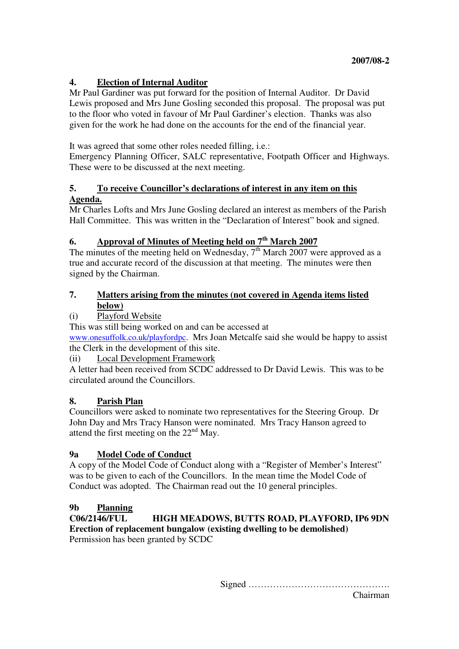### **4. Election of Internal Auditor**

Mr Paul Gardiner was put forward for the position of Internal Auditor. Dr David Lewis proposed and Mrs June Gosling seconded this proposal. The proposal was put to the floor who voted in favour of Mr Paul Gardiner's election. Thanks was also given for the work he had done on the accounts for the end of the financial year.

It was agreed that some other roles needed filling, i.e.:

Emergency Planning Officer, SALC representative, Footpath Officer and Highways. These were to be discussed at the next meeting.

### **5. To receive Councillor's declarations of interest in any item on this Agenda.**

Mr Charles Lofts and Mrs June Gosling declared an interest as members of the Parish Hall Committee. This was written in the "Declaration of Interest" book and signed.

## **6. Approval of Minutes of Meeting held on 7th March 2007**

The minutes of the meeting held on Wednesday,  $7<sup>th</sup>$  March 2007 were approved as a true and accurate record of the discussion at that meeting. The minutes were then signed by the Chairman.

### **7. Matters arising from the minutes (not covered in Agenda items listed below)**

## (i) Playford Website

This was still being worked on and can be accessed at www.onesuffolk.co.uk/playfordpc. Mrs Joan Metcalfe said she would be happy to assist

the Clerk in the development of this site.

(ii) Local Development Framework

A letter had been received from SCDC addressed to Dr David Lewis. This was to be circulated around the Councillors.

## **8. Parish Plan**

Councillors were asked to nominate two representatives for the Steering Group. Dr John Day and Mrs Tracy Hanson were nominated. Mrs Tracy Hanson agreed to attend the first meeting on the  $22<sup>nd</sup>$  May.

## **9a Model Code of Conduct**

A copy of the Model Code of Conduct along with a "Register of Member's Interest" was to be given to each of the Councillors. In the mean time the Model Code of Conduct was adopted. The Chairman read out the 10 general principles.

## **9b Planning**

**C06/2146/FUL HIGH MEADOWS, BUTTS ROAD, PLAYFORD, IP6 9DN Erection of replacement bungalow (existing dwelling to be demolished)** Permission has been granted by SCDC

Signed ……………………………………….